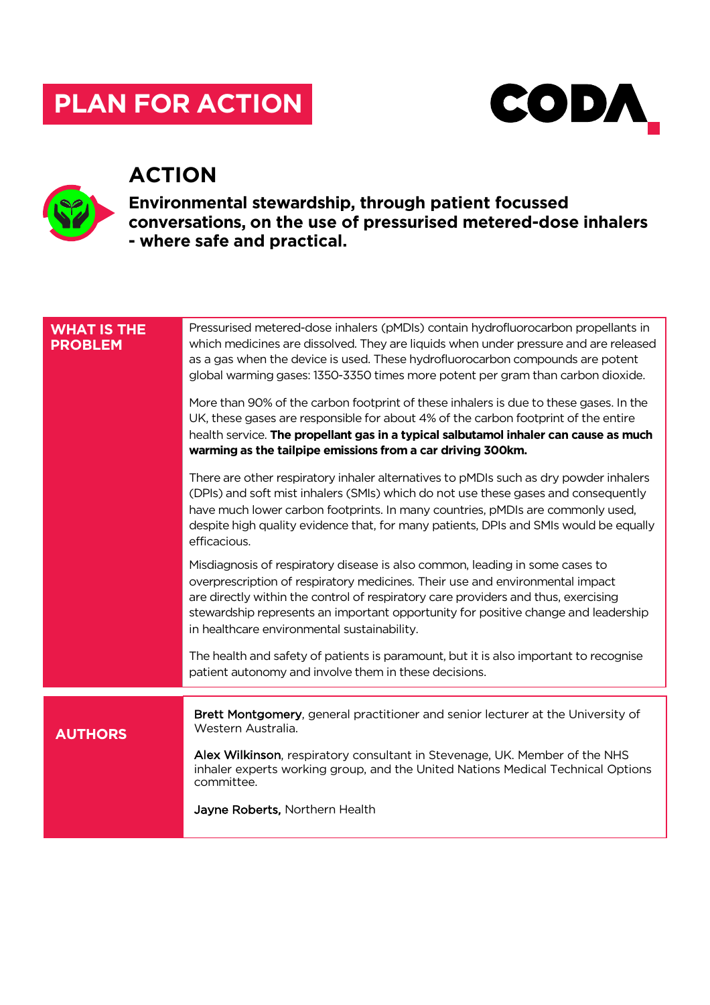# **PLAN FOR ACTION**



## **ACTION**



**Environmental stewardship, through patient focussed conversations, on the use of pressurised metered-dose inhalers - where safe and practical.**

| <b>WHAT IS THE</b><br><b>PROBLEM</b> | Pressurised metered-dose inhalers (pMDIs) contain hydrofluorocarbon propellants in<br>which medicines are dissolved. They are liquids when under pressure and are released<br>as a gas when the device is used. These hydrofluorocarbon compounds are potent<br>global warming gases: 1350-3350 times more potent per gram than carbon dioxide.<br>More than 90% of the carbon footprint of these inhalers is due to these gases. In the<br>UK, these gases are responsible for about 4% of the carbon footprint of the entire<br>health service. The propellant gas in a typical salbutamol inhaler can cause as much |
|--------------------------------------|------------------------------------------------------------------------------------------------------------------------------------------------------------------------------------------------------------------------------------------------------------------------------------------------------------------------------------------------------------------------------------------------------------------------------------------------------------------------------------------------------------------------------------------------------------------------------------------------------------------------|
|                                      | warming as the tailpipe emissions from a car driving 300km.<br>There are other respiratory inhaler alternatives to pMDIs such as dry powder inhalers                                                                                                                                                                                                                                                                                                                                                                                                                                                                   |
|                                      | (DPIs) and soft mist inhalers (SMIs) which do not use these gases and consequently<br>have much lower carbon footprints. In many countries, pMDIs are commonly used,<br>despite high quality evidence that, for many patients, DPIs and SMIs would be equally<br>efficacious.                                                                                                                                                                                                                                                                                                                                          |
|                                      | Misdiagnosis of respiratory disease is also common, leading in some cases to<br>overprescription of respiratory medicines. Their use and environmental impact<br>are directly within the control of respiratory care providers and thus, exercising<br>stewardship represents an important opportunity for positive change and leadership<br>in healthcare environmental sustainability.                                                                                                                                                                                                                               |
|                                      | The health and safety of patients is paramount, but it is also important to recognise<br>patient autonomy and involve them in these decisions.                                                                                                                                                                                                                                                                                                                                                                                                                                                                         |
|                                      |                                                                                                                                                                                                                                                                                                                                                                                                                                                                                                                                                                                                                        |
| <b>AUTHORS</b>                       | Brett Montgomery, general practitioner and senior lecturer at the University of<br>Western Australia.<br>Alex Wilkinson, respiratory consultant in Stevenage, UK. Member of the NHS                                                                                                                                                                                                                                                                                                                                                                                                                                    |
|                                      | inhaler experts working group, and the United Nations Medical Technical Options<br>committee.                                                                                                                                                                                                                                                                                                                                                                                                                                                                                                                          |
|                                      | Jayne Roberts, Northern Health                                                                                                                                                                                                                                                                                                                                                                                                                                                                                                                                                                                         |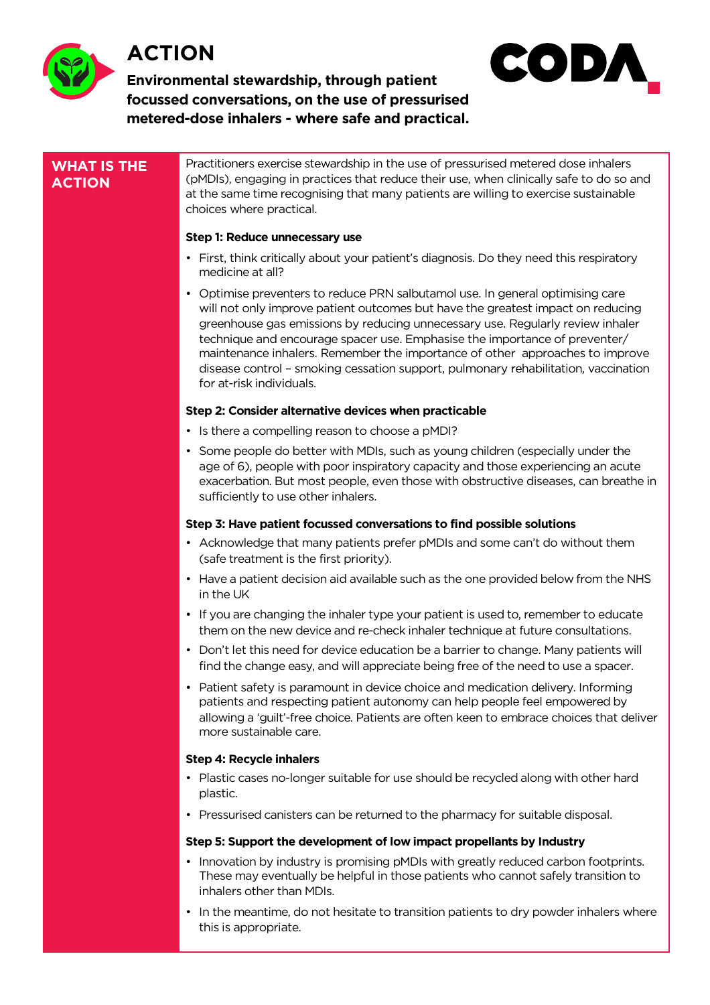

## **ACTION**





#### **WHAT IS THE ACTION**

Practitioners exercise stewardship in the use of pressurised metered dose inhalers (pMDIs), engaging in practices that reduce their use, when clinically safe to do so and at the same time recognising that many patients are willing to exercise sustainable choices where practical.

#### **Step 1: Reduce unnecessary use**

- First, think critically about your patient's diagnosis. Do they need this respiratory medicine at all?
- Optimise preventers to reduce PRN salbutamol use. In general optimising care will not only improve patient outcomes but have the greatest impact on reducing greenhouse gas emissions by reducing unnecessary use. Regularly review inhaler technique and encourage spacer use. Emphasise the importance of preventer/ maintenance inhalers. Remember the importance of other approaches to improve disease control – smoking cessation support, pulmonary rehabilitation, vaccination for at-risk individuals.

#### **Step 2: Consider alternative devices when practicable**

- Is there a compelling reason to choose a pMDI?
- Some people do better with MDIs, such as young children (especially under the age of 6), people with poor inspiratory capacity and those experiencing an acute exacerbation. But most people, even those with obstructive diseases, can breathe in sufficiently to use other inhalers.

#### **Step 3: Have patient focussed conversations to find possible solutions**

- Acknowledge that many patients prefer pMDIs and some can't do without them (safe treatment is the first priority).
- Have a patient decision aid available such as the one provided below from the NHS in the UK
- If you are changing the inhaler type your patient is used to, remember to educate them on the new device and re-check inhaler technique at future consultations.
- Don't let this need for device education be a barrier to change. Many patients will find the change easy, and will appreciate being free of the need to use a spacer.
- Patient safety is paramount in device choice and medication delivery. Informing patients and respecting patient autonomy can help people feel empowered by allowing a 'guilt'-free choice. Patients are often keen to embrace choices that deliver more sustainable care.

#### **Step 4: Recycle inhalers**

- Plastic cases no-longer suitable for use should be recycled along with other hard plastic.
- Pressurised canisters can be returned to the pharmacy for suitable disposal.

#### **Step 5: Support the development of low impact propellants by Industry**

- Innovation by industry is promising pMDIs with greatly reduced carbon footprints. These may eventually be helpful in those patients who cannot safely transition to inhalers other than MDIs.
- In the meantime, do not hesitate to transition patients to dry powder inhalers where this is appropriate.